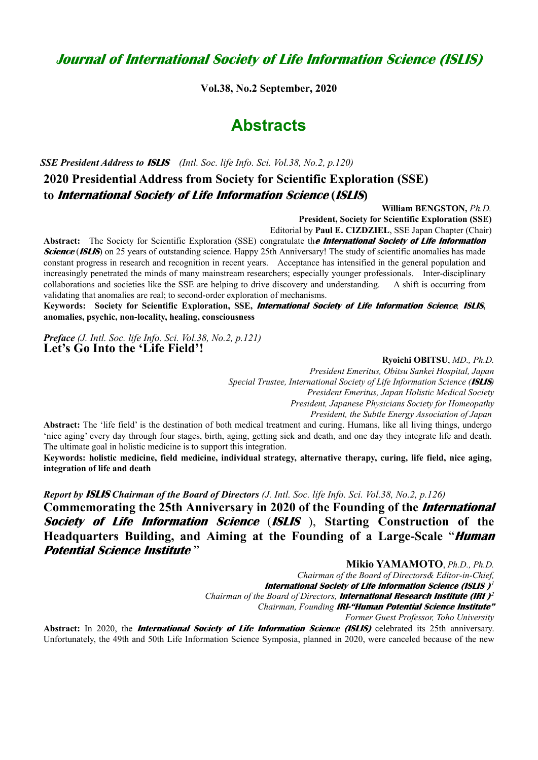## **Journal of International Society of Life Information Science (ISLIS)**

**Vol.38, No.2 September, 2020**

## **Abstracts**

*SSE President Address to* **ISLIS** *(Intl. Soc. life Info. Sci. Vol.38, No.2, p.120)*

## **2020 Presidential Address from Society for Scientific Exploration (SSE) to International Society of Life Information Science (ISLIS)**

**William BENGSTON,** *Ph.D.*

**President, Society for Scientific Exploration (SSE)**

Editorial by **Paul E. CIZDZIEL**, SSE Japan Chapter (Chair)

**Abstract:** The Society for Scientific Exploration (SSE) congratulate th**e International Society of Life Information Science (ISLIS)** on 25 years of outstanding science. Happy 25th Anniversary! The study of scientific anomalies has made constant progress in research and recognition in recent years. Acceptance has intensified in the general population and increasingly penetrated the minds of many mainstream researchers; especially younger professionals. Inter-disciplinary collaborations and societies like the SSE are helping to drive discovery and understanding. A shift is occurring from validating that anomalies are real; to second-order exploration of mechanisms.

**Keywords: Society for Scientific Exploration, SSE, International Society of Life Information Science***,* **ISLIS, anomalies, psychic, non-locality, healing, consciousness** 

*Preface (J. Intl. Soc. life Info. Sci. Vol.38, No.2, p.121)* **Let's Go Into the 'Life Field'!**

**Ryoichi OBITSU**, *MD., Ph.D.*

*President Emeritus, Obitsu Sankei Hospital, Japan Special Trustee, International Society of Life Information Science (***ISLIS***) President Emeritus, Japan Holistic Medical Society President, Japanese Physicians Society for Homeopathy President, the Subtle Energy Association of Japan*

**Abstract:** The 'life field' is the destination of both medical treatment and curing. Humans, like all living things, undergo 'nice aging' every day through four stages, birth, aging, getting sick and death, and one day they integrate life and death. The ultimate goal in holistic medicine is to support this integration.

**Keywords: holistic medicine, field medicine, individual strategy, alternative therapy, curing, life field, nice aging, integration of life and death** 

*Report by* **ISLIS** *Chairman of the Board of Directors (J. Intl. Soc. life Info. Sci. Vol.38, No.2, p.126)* **Commemorating the 25th Anniversary in 2020 of the Founding of the International Society of Life Information Science** (**ISLIS** ), **Starting Construction of the Headquarters Building, and Aiming at the Founding of a Large-Scale** "**Human Potential Science Institute** "

**Mikio YAMAMOTO**, *Ph.D., Ph.D.*

*Chairman of the Board of Directors& Editor-in-Chief,* 

**International Society of Life Information Science (ISLIS )***<sup>1</sup>*

*Chairman of the Board of Directors,* **International Research Institute (IRI )***<sup>2</sup>*

*Chairman, Founding* **IRI-"Human Potential Science Institute"**

*Former Guest Professor, Toho University* 

**Abstract:** In 2020, the **International Society of Life Information Science (ISLIS)** celebrated its 25th anniversary. Unfortunately, the 49th and 50th Life Information Science Symposia, planned in 2020, were canceled because of the new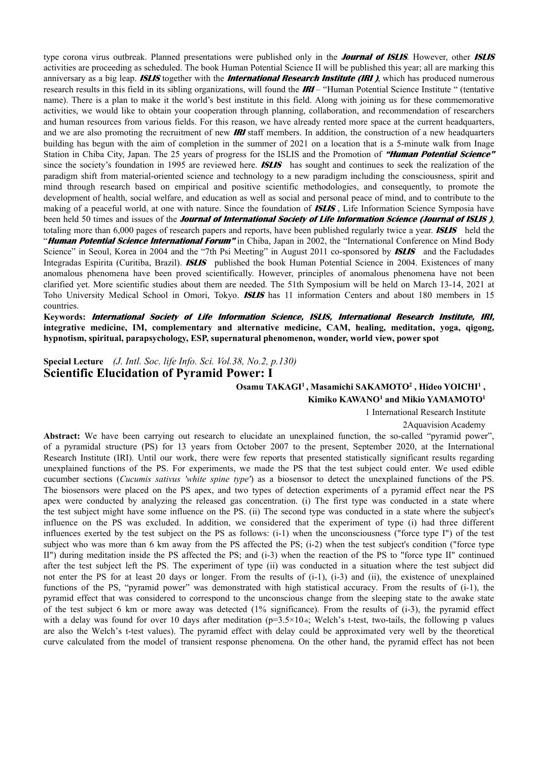type corona virus outbreak. Planned presentations were published only in the **Journal of ISLIS**. However, other **ISLIS** activities are proceeding as scheduled. The book Human Potential Science II will be published this year; all are marking this anniversary as a big leap. **ISLIS** together with the **International Research Institute (IRI )**, which has produced numerous research results in this field in its sibling organizations, will found the **IRI** – "Human Potential Science Institute " (tentative name). There is a plan to make it the world's best institute in this field. Along with joining us for these commemorative activities, we would like to obtain your cooperation through planning, collaboration, and recommendation of researchers and human resources from various fields. For this reason, we have already rented more space at the current headquarters, and we are also promoting the recruitment of new **IRI** staff members. In addition, the construction of a new headquarters building has begun with the aim of completion in the summer of 2021 on a location that is a 5-minute walk from Inage Station in Chiba City, Japan. The 25 years of progress for the ISLIS and the Promotion of **"Human Potential Science"** since the society's foundation in 1995 are reviewed here. **ISLIS** has sought and continues to seek the realization of the paradigm shift from material-oriented science and technology to a new paradigm including the consciousness, spirit and mind through research based on empirical and positive scientific methodologies, and consequently, to promote the development of health, social welfare, and education as well as social and personal peace of mind, and to contribute to the making of a peaceful world, at one with nature. Since the foundation of **ISLIS** , Life Information Science Symposia have been held 50 times and issues of the **Journal of International Society of Life Information Science (Journal of ISLIS )**, totaling more than 6,000 pages of research papers and reports, have been published regularly twice a year. **ISLIS** held the "**Human Potential Science International Forum"** in Chiba, Japan in 2002, the "International Conference on Mind Body Science" in Seoul, Korea in 2004 and the "7th Psi Meeting" in August 2011 co-sponsored by **ISLIS** and the Facludades Integradas Espirita (Curitiba, Brazil). **ISLIS** published the book Human Potential Science in 2004. Existences of many anomalous phenomena have been proved scientifically. However, principles of anomalous phenomena have not been clarified yet. More scientific studies about them are needed. The 51th Symposium will be held on March 13-14, 2021 at Toho University Medical School in Omori, Tokyo. **ISLIS** has 11 information Centers and about 180 members in 15 countries.

**Keywords: International Society of Life Information Science, ISLIS, International Research Institute, IRI, integrative medicine, IM, complementary and alternative medicine, CAM, healing, meditation, yoga, qigong, hypnotism, spiritual, parapsychology, ESP, supernatural phenomenon, wonder, world view, power spot** 

**Special Lecture** *(J. Intl. Soc. life Info. Sci. Vol.38, No.2, p.130)*  **Scientific Elucidation of Pyramid Power: I** 

> Osamu TAKAGI<sup>1</sup>, Masamichi SAKAMOTO<sup>2</sup>, Hideo YOICHI<sup>1</sup>, Kimiko KAWANO<sup>1</sup> and Mikio YAMAMOTO<sup>1</sup>

1 International Research Institute

2Aquavision Academy

**Abstract:** We have been carrying out research to elucidate an unexplained function, the so-called "pyramid power", of a pyramidal structure (PS) for 13 years from October 2007 to the present, September 2020, at the International Research Institute (IRI). Until our work, there were few reports that presented statistically significant results regarding unexplained functions of the PS. For experiments, we made the PS that the test subject could enter. We used edible cucumber sections (*Cucumis sativus 'white spine type'*) as a biosensor to detect the unexplained functions of the PS. The biosensors were placed on the PS apex, and two types of detection experiments of a pyramid effect near the PS apex were conducted by analyzing the released gas concentration. (i) The first type was conducted in a state where the test subject might have some influence on the PS. (ii) The second type was conducted in a state where the subject's influence on the PS was excluded. In addition, we considered that the experiment of type (i) had three different influences exerted by the test subject on the PS as follows: (i-1) when the unconsciousness ("force type I") of the test subject who was more than 6 km away from the PS affected the PS; (i-2) when the test subject's condition ("force type II") during meditation inside the PS affected the PS; and (i-3) when the reaction of the PS to "force type II" continued after the test subject left the PS. The experiment of type (ii) was conducted in a situation where the test subject did not enter the PS for at least 20 days or longer. From the results of (i-1), (i-3) and (ii), the existence of unexplained functions of the PS, "pyramid power" was demonstrated with high statistical accuracy. From the results of (i-1), the pyramid effect that was considered to correspond to the unconscious change from the sleeping state to the awake state of the test subject 6 km or more away was detected (1% significance). From the results of (i-3), the pyramid effect with a delay was found for over 10 days after meditation ( $p=3.5\times10^{-6}$ ; Welch's t-test, two-tails, the following p values are also the Welch's t-test values). The pyramid effect with delay could be approximated very well by the theoretical curve calculated from the model of transient response phenomena. On the other hand, the pyramid effect has not been